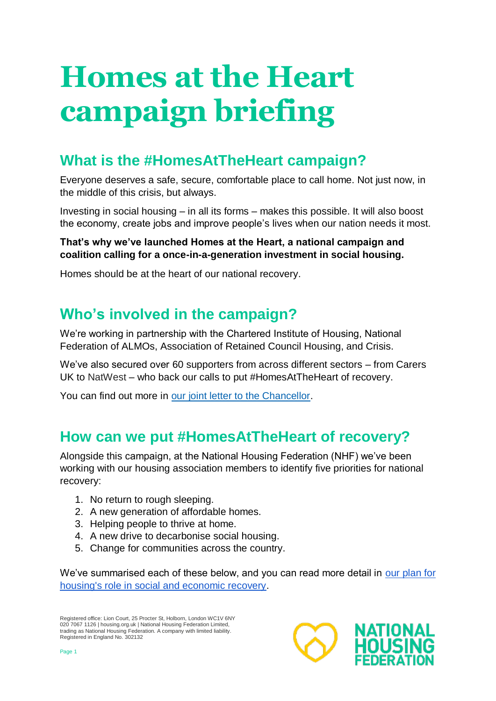# **Homes at the Heart campaign briefing**

## **What is the #HomesAtTheHeart campaign?**

Everyone deserves a safe, secure, comfortable place to call home. Not just now, in the middle of this crisis, but always.

Investing in social housing – in all its forms – makes this possible. It will also boost the economy, create jobs and improve people's lives when our nation needs it most.

#### **That's why we've launched Homes at the Heart, a national campaign and coalition calling for a once-in-a-generation investment in social housing.**

Homes should be at the heart of our national recovery.

## **Who's involved in the campaign?**

We're working in partnership with the Chartered Institute of Housing, National Federation of ALMOs, Association of Retained Council Housing, and Crisis.

We've also secured over 60 supporters from across different sectors – from Carers UK to NatWest – who back our calls to put #HomesAtTheHeart of recovery.

You can find out more in our [joint letter to the Chancellor.](https://www.housing.org.uk/globalassets/files/homes-at-the-heart/homes-at-the-heart-launch-open-letter.pdf)

## **How can we put #HomesAtTheHeart of recovery?**

Alongside this campaign, at the National Housing Federation (NHF) we've been working with our housing association members to identify five priorities for national recovery:

- 1. No return to rough sleeping.
- 2. A new generation of affordable homes.
- 3. Helping people to thrive at home.
- 4. A new drive to decarbonise social housing.
- 5. Change for communities across the country.

We've summarised each of these below, and you can read more detail in [our plan for](https://www.housing.org.uk/resources/coronavirus-social-economic-recovery/)  [housing's role in social and economic recovery.](https://www.housing.org.uk/resources/coronavirus-social-economic-recovery/)

Registered office: Lion Court, 25 Procter St, Holborn, London WC1V 6NY 020 7067 1126 | housing.org.uk | National Housing Federation Limited,<br>trading as National Housing Federation. A company with limited liability. Registered in England No. 302132

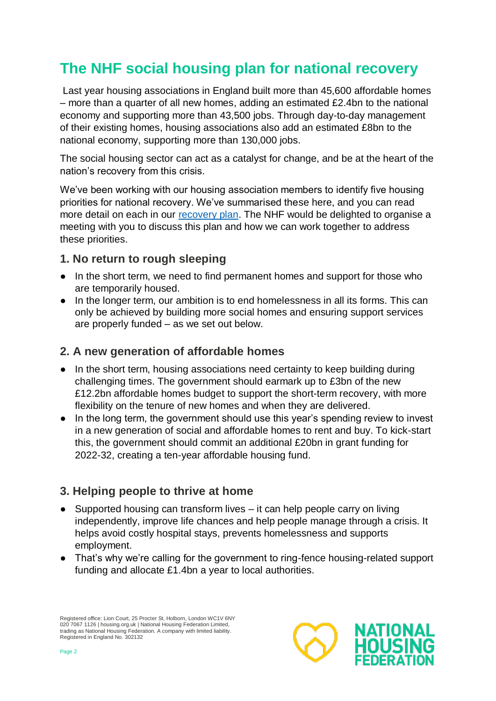## **The NHF social housing plan for national recovery**

Last year housing associations in England built more than 45,600 affordable homes – more than a quarter of all new homes, adding an estimated £2.4bn to the national economy and supporting more than 43,500 jobs. Through day-to-day management of their existing homes, housing associations also add an estimated £8bn to the national economy, supporting more than 130,000 jobs.

The social housing sector can act as a catalyst for change, and be at the heart of the nation's recovery from this crisis.

We've been working with our housing association members to identify five housing priorities for national recovery. We've summarised these here, and you can read more detail on each in our [recovery plan.](https://www.housing.org.uk/resources/coronavirus-social-economic-recovery/) The NHF would be delighted to organise a meeting with you to discuss this plan and how we can work together to address these priorities.

#### **1. No return to rough sleeping**

- In the short term, we need to find permanent homes and support for those who are temporarily housed.
- In the longer term, our ambition is to end homelessness in all its forms. This can only be achieved by building more social homes and ensuring support services are properly funded – as we set out below.

#### **2. A new generation of affordable homes**

- In the short term, housing associations need certainty to keep building during challenging times. The government should earmark up to £3bn of the new £12.2bn affordable homes budget to support the short-term recovery, with more flexibility on the tenure of new homes and when they are delivered.
- In the long term, the government should use this year's spending review to invest in a new generation of social and affordable homes to rent and buy. To kick-start this, the government should commit an additional £20bn in grant funding for 2022-32, creating a ten-year affordable housing fund.

#### **3. Helping people to thrive at home**

- Supported housing can transform lives it can help people carry on living independently, improve life chances and help people manage through a crisis. It helps avoid costly hospital stays, prevents homelessness and supports employment.
- That's why we're calling for the government to ring-fence housing-related support funding and allocate £1.4bn a year to local authorities.

Registered office: Lion Court, 25 Procter St, Holborn, London WC1V 6NY 020 7067 1126 | housing.org.uk | National Housing Federation Limited,<br>trading as National Housing Federation. A company with limited liability. Registered in England No. 302132

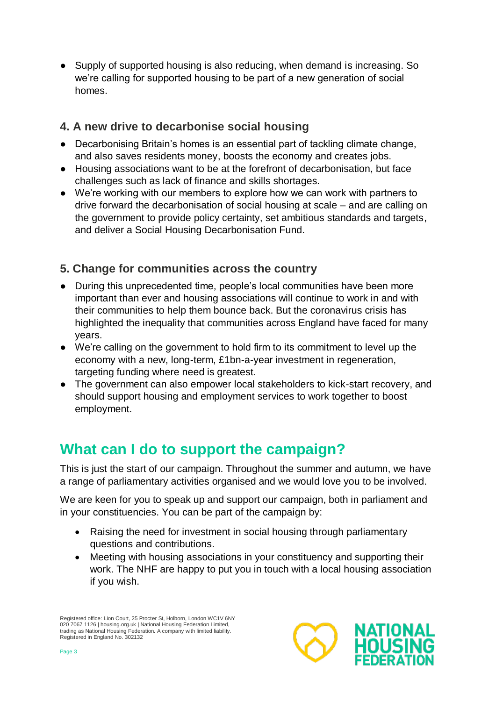• Supply of supported housing is also reducing, when demand is increasing. So we're calling for supported housing to be part of a new generation of social homes.

#### **4. A new drive to decarbonise social housing**

- Decarbonising Britain's homes is an essential part of tackling climate change, and also saves residents money, boosts the economy and creates jobs.
- Housing associations want to be at the forefront of decarbonisation, but face challenges such as lack of finance and skills shortages.
- We're working with our members to explore how we can work with partners to drive forward the decarbonisation of social housing at scale – and are calling on the government to provide policy certainty, set ambitious standards and targets, and deliver a Social Housing Decarbonisation Fund.

### **5. Change for communities across the country**

- During this unprecedented time, people's local communities have been more important than ever and housing associations will continue to work in and with their communities to help them bounce back. But the coronavirus crisis has highlighted the inequality that communities across England have faced for many years.
- We're calling on the government to hold firm to its commitment to level up the economy with a new, long-term, £1bn-a-year investment in regeneration, targeting funding where need is greatest.
- The government can also empower local stakeholders to kick-start recovery, and should support housing and employment services to work together to boost employment.

## **What can I do to support the campaign?**

This is just the start of our campaign. Throughout the summer and autumn, we have a range of parliamentary activities organised and we would love you to be involved.

We are keen for you to speak up and support our campaign, both in parliament and in your constituencies. You can be part of the campaign by:

- Raising the need for investment in social housing through parliamentary questions and contributions.
- Meeting with housing associations in your constituency and supporting their work. The NHF are happy to put you in touch with a local housing association if you wish.

Registered office: Lion Court, 25 Procter St, Holborn, London WC1V 6NY 020 7067 1126 | housing.org.uk | National Housing Federation Limited,<br>trading as National Housing Federation. A company with limited liability. Registered in England No. 302132